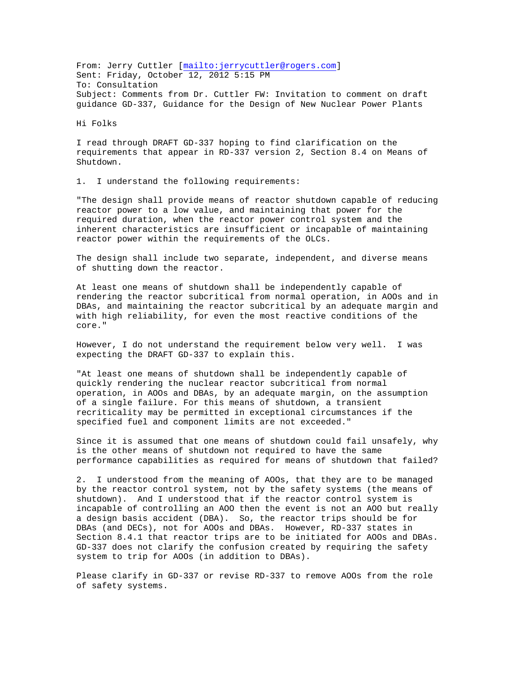From: Jerry Cuttler [<mailto:jerrycuttler@rogers.com>] Sent: Friday, October 12, 2012 5:15 PM To: Consultation Subject: Comments from Dr. Cuttler FW: Invitation to comment on draft guidance GD-337, Guidance for the Design of New Nuclear Power Plants

Hi Folks

I read through DRAFT GD-337 hoping to find clarification on the requirements that appear in RD-337 version 2, Section 8.4 on Means of Shutdown.

1. I understand the following requirements:

"The design shall provide means of reactor shutdown capable of reducing reactor power to a low value, and maintaining that power for the required duration, when the reactor power control system and the inherent characteristics are insufficient or incapable of maintaining reactor power within the requirements of the OLCs.

The design shall include two separate, independent, and diverse means of shutting down the reactor.

At least one means of shutdown shall be independently capable of rendering the reactor subcritical from normal operation, in AOOs and in DBAs, and maintaining the reactor subcritical by an adequate margin and with high reliability, for even the most reactive conditions of the core."

However, I do not understand the requirement below very well. I was expecting the DRAFT GD-337 to explain this.

"At least one means of shutdown shall be independently capable of quickly rendering the nuclear reactor subcritical from normal operation, in AOOs and DBAs, by an adequate margin, on the assumption of a single failure. For this means of shutdown, a transient recriticality may be permitted in exceptional circumstances if the specified fuel and component limits are not exceeded."

Since it is assumed that one means of shutdown could fail unsafely, why is the other means of shutdown not required to have the same performance capabilities as required for means of shutdown that failed?

2. I understood from the meaning of AOOs, that they are to be managed by the reactor control system, not by the safety systems (the means of shutdown). And I understood that if the reactor control system is incapable of controlling an AOO then the event is not an AOO but really a design basis accident (DBA). So, the reactor trips should be for DBAs (and DECs), not for AOOs and DBAs. However, RD-337 states in Section 8.4.1 that reactor trips are to be initiated for AOOs and DBAs. GD-337 does not clarify the confusion created by requiring the safety system to trip for AOOs (in addition to DBAs).

Please clarify in GD-337 or revise RD-337 to remove AOOs from the role of safety systems.